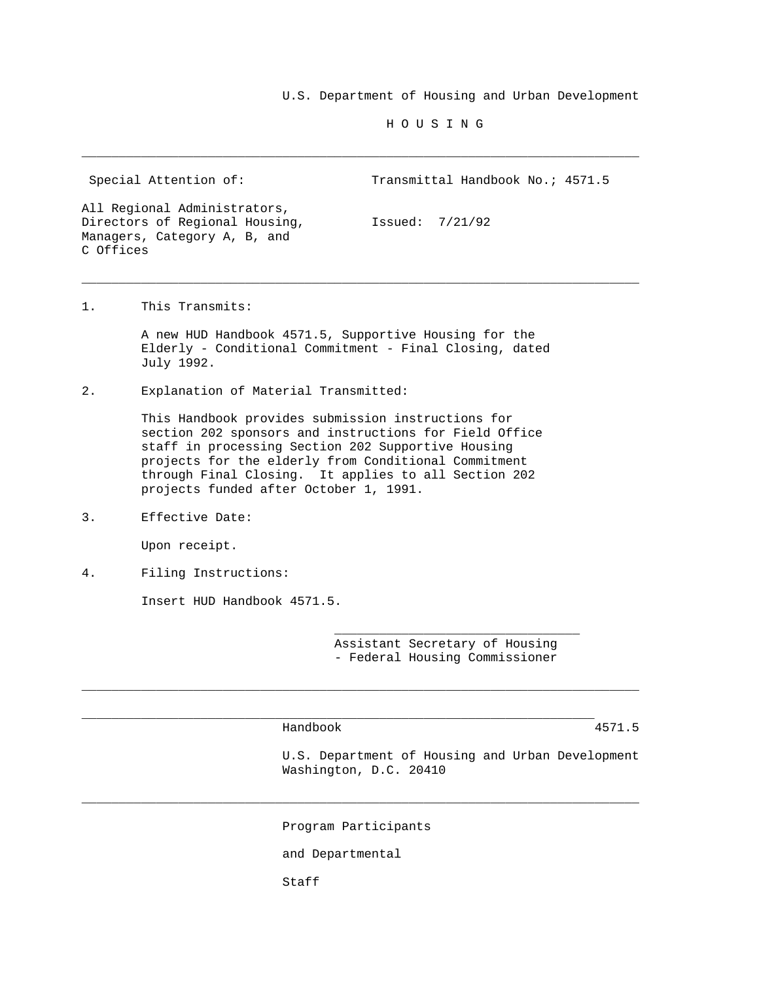U.S. Department of Housing and Urban Development

H O U S I N G

Special Attention of: Transmittal Handbook No.; 4571.5 All Regional Administrators, Directors of Regional Housing, [Ssued:  $7/21/92$ ] Managers, Category A, B, and

\_\_\_\_\_\_\_\_\_\_\_\_\_\_\_\_\_\_\_\_\_\_\_\_\_\_\_\_\_\_\_\_\_\_\_\_\_\_\_\_\_\_\_\_\_\_\_\_\_\_\_\_\_\_\_\_\_\_\_\_\_\_\_\_\_\_\_\_\_\_\_\_\_\_\_

\_\_\_\_\_\_\_\_\_\_\_\_\_\_\_\_\_\_\_\_\_\_\_\_\_\_\_\_\_\_\_\_\_\_\_\_\_\_\_\_\_\_\_\_\_\_\_\_\_\_\_\_\_\_\_\_\_\_\_\_\_\_\_\_\_\_\_\_\_\_\_\_\_\_\_

1. This Transmits:

C Offices

 A new HUD Handbook 4571.5, Supportive Housing for the Elderly - Conditional Commitment - Final Closing, dated July 1992.

2. Explanation of Material Transmitted:

 This Handbook provides submission instructions for section 202 sponsors and instructions for Field Office staff in processing Section 202 Supportive Housing projects for the elderly from Conditional Commitment through Final Closing. It applies to all Section 202 projects funded after October 1, 1991.

 $\frac{1}{\sqrt{2}}$  ,  $\frac{1}{\sqrt{2}}$  ,  $\frac{1}{\sqrt{2}}$  ,  $\frac{1}{\sqrt{2}}$  ,  $\frac{1}{\sqrt{2}}$  ,  $\frac{1}{\sqrt{2}}$  ,  $\frac{1}{\sqrt{2}}$  ,  $\frac{1}{\sqrt{2}}$  ,  $\frac{1}{\sqrt{2}}$  ,  $\frac{1}{\sqrt{2}}$  ,  $\frac{1}{\sqrt{2}}$  ,  $\frac{1}{\sqrt{2}}$  ,  $\frac{1}{\sqrt{2}}$  ,  $\frac{1}{\sqrt{2}}$  ,  $\frac{1}{\sqrt{2}}$ 

\_\_\_\_\_\_\_\_\_\_\_\_\_\_\_\_\_\_\_\_\_\_\_\_\_\_\_\_\_\_\_\_\_\_\_\_\_\_\_\_\_\_\_\_\_\_\_\_\_\_\_\_\_\_\_\_\_\_\_\_\_\_\_\_\_\_\_\_\_

3. Effective Date:

Upon receipt.

4. Filing Instructions:

Insert HUD Handbook 4571.5.

 Assistant Secretary of Housing - Federal Housing Commissioner

Handbook 4571.5

 U.S. Department of Housing and Urban Development Washington, D.C. 20410

Program Participants

\_\_\_\_\_\_\_\_\_\_\_\_\_\_\_\_\_\_\_\_\_\_\_\_\_\_\_\_\_\_\_\_\_\_\_\_\_\_\_\_\_\_\_\_\_\_\_\_\_\_\_\_\_\_\_\_\_\_\_\_\_\_\_\_\_\_\_\_\_\_\_\_\_\_\_

\_\_\_\_\_\_\_\_\_\_\_\_\_\_\_\_\_\_\_\_\_\_\_\_\_\_\_\_\_\_\_\_\_\_\_\_\_\_\_\_\_\_\_\_\_\_\_\_\_\_\_\_\_\_\_\_\_\_\_\_\_\_\_\_\_\_\_\_\_\_\_\_\_\_\_

and Departmental

Staff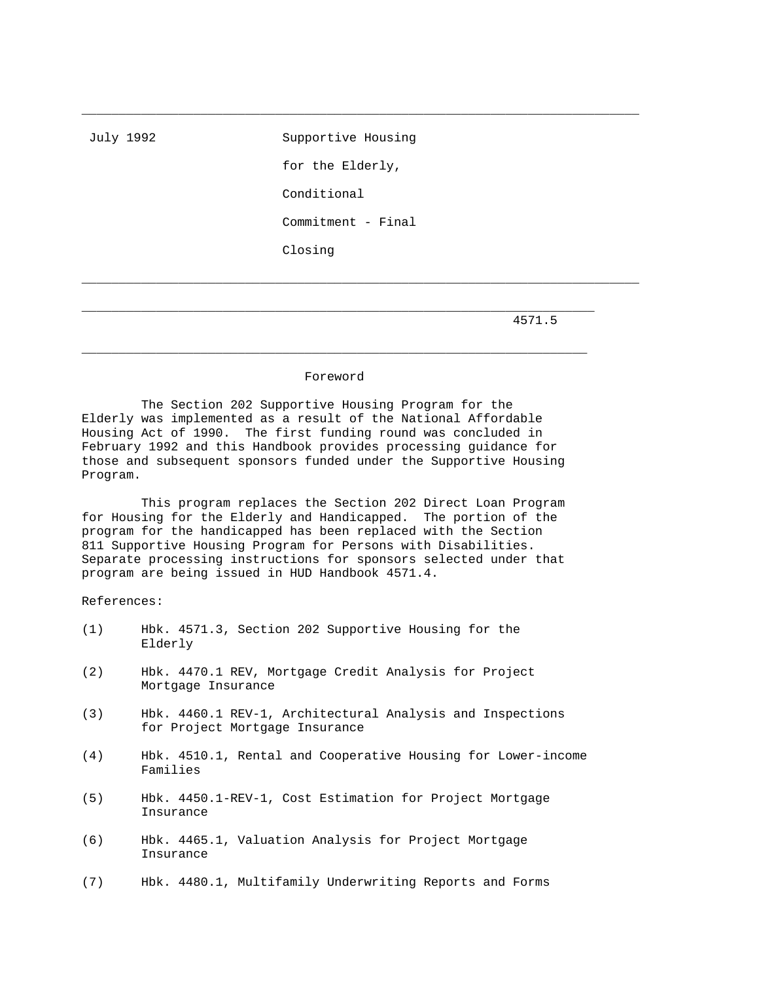July 1992 Supportive Housing for the Elderly, Conditional Commitment - Final Closing

\_\_\_\_\_\_\_\_\_\_\_\_\_\_\_\_\_\_\_\_\_\_\_\_\_\_\_\_\_\_\_\_\_\_\_\_\_\_\_\_\_\_\_\_\_\_\_\_\_\_\_\_\_\_\_\_\_\_\_\_\_\_\_\_\_\_\_\_\_\_\_\_\_\_\_

\_\_\_\_\_\_\_\_\_\_\_\_\_\_\_\_\_\_\_\_\_\_\_\_\_\_\_\_\_\_\_\_\_\_\_\_\_\_\_\_\_\_\_\_\_\_\_\_\_\_\_\_\_\_\_\_\_\_\_\_\_\_\_\_\_\_\_\_\_\_\_\_\_\_\_

4571.5

## Foreword

 $\_$  ,  $\_$  ,  $\_$  ,  $\_$  ,  $\_$  ,  $\_$  ,  $\_$  ,  $\_$  ,  $\_$  ,  $\_$  ,  $\_$  ,  $\_$  ,  $\_$  ,  $\_$  ,  $\_$  ,  $\_$  ,  $\_$  ,  $\_$  ,  $\_$  ,  $\_$  ,  $\_$  ,  $\_$  ,  $\_$  ,  $\_$  ,  $\_$  ,  $\_$  ,  $\_$  ,  $\_$  ,  $\_$  ,  $\_$  ,  $\_$  ,  $\_$  ,  $\_$  ,  $\_$  ,  $\_$  ,  $\_$  ,  $\_$  ,

\_\_\_\_\_\_\_\_\_\_\_\_\_\_\_\_\_\_\_\_\_\_\_\_\_\_\_\_\_\_\_\_\_\_\_\_\_\_\_\_\_\_\_\_\_\_\_\_\_\_\_\_\_\_\_\_\_\_\_\_\_\_\_\_\_\_\_\_\_

 The Section 202 Supportive Housing Program for the Elderly was implemented as a result of the National Affordable Housing Act of 1990. The first funding round was concluded in February 1992 and this Handbook provides processing guidance for those and subsequent sponsors funded under the Supportive Housing Program.

 This program replaces the Section 202 Direct Loan Program for Housing for the Elderly and Handicapped. The portion of the program for the handicapped has been replaced with the Section 811 Supportive Housing Program for Persons with Disabilities. Separate processing instructions for sponsors selected under that program are being issued in HUD Handbook 4571.4.

References:

- (1) Hbk. 4571.3, Section 202 Supportive Housing for the Elderly
- (2) Hbk. 4470.1 REV, Mortgage Credit Analysis for Project Mortgage Insurance
- (3) Hbk. 4460.1 REV-1, Architectural Analysis and Inspections for Project Mortgage Insurance
- (4) Hbk. 4510.1, Rental and Cooperative Housing for Lower-income Families
- (5) Hbk. 4450.1-REV-1, Cost Estimation for Project Mortgage Insurance
- (6) Hbk. 4465.1, Valuation Analysis for Project Mortgage Insurance
- (7) Hbk. 4480.1, Multifamily Underwriting Reports and Forms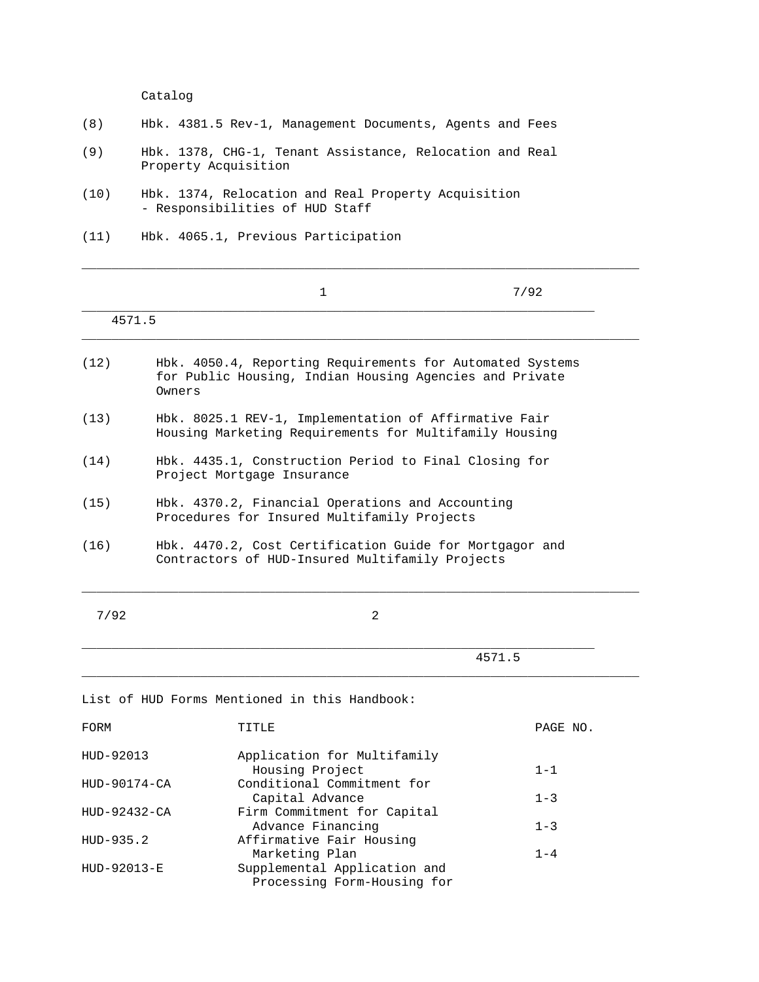Catalog

| (8) |  |  | Hbk. 4381.5 Rev-1, Management Documents, Agents and Fees |  |  |  |  |
|-----|--|--|----------------------------------------------------------|--|--|--|--|
|-----|--|--|----------------------------------------------------------|--|--|--|--|

- (9) Hbk. 1378, CHG-1, Tenant Assistance, Relocation and Real Property Acquisition
- (10) Hbk. 1374, Relocation and Real Property Acquisition - Responsibilities of HUD Staff
- (11) Hbk. 4065.1, Previous Participation

|              |        | 1                                                                                                                    | 7/92     |
|--------------|--------|----------------------------------------------------------------------------------------------------------------------|----------|
| 4571.5       |        |                                                                                                                      |          |
| (12)         | Owners | Hbk. 4050.4, Reporting Requirements for Automated Systems<br>for Public Housing, Indian Housing Agencies and Private |          |
| (13)         |        | Hbk. 8025.1 REV-1, Implementation of Affirmative Fair<br>Housing Marketing Requirements for Multifamily Housing      |          |
| (14)         |        | Hbk. 4435.1, Construction Period to Final Closing for<br>Project Mortgage Insurance                                  |          |
| (15)         |        | Hbk. 4370.2, Financial Operations and Accounting<br>Procedures for Insured Multifamily Projects                      |          |
| (16)         |        | Hbk. 4470.2, Cost Certification Guide for Mortgagor and<br>Contractors of HUD-Insured Multifamily Projects           |          |
| 7/92         |        | $\overline{a}$                                                                                                       |          |
|              |        |                                                                                                                      | 4571.5   |
|              |        | List of HUD Forms Mentioned in this Handbook:                                                                        |          |
| FORM         |        | TITLE                                                                                                                | PAGE NO. |
| HUD-92013    |        | Application for Multifamily<br>Housing Project                                                                       | $1 - 1$  |
| HUD-90174-CA |        | Conditional Commitment for<br>Capital Advance                                                                        | $1 - 3$  |
| HUD-92432-CA |        | Firm Commitment for Capital<br>Advance Financing                                                                     | $1 - 3$  |
| HUD-935.2    |        | Affirmative Fair Housing<br>Marketing Plan                                                                           | $1 - 4$  |
| HUD-92013-E  |        | Supplemental Application and<br>Processing Form-Housing for                                                          |          |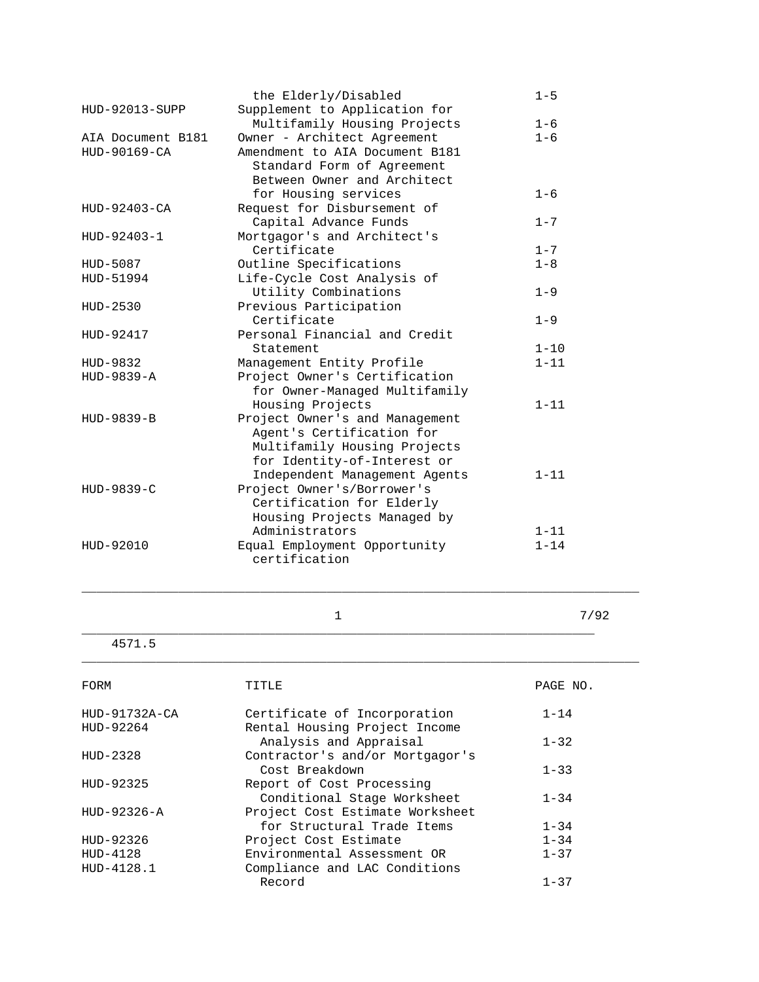|                                | $1 - 5$                                                                                                                            |
|--------------------------------|------------------------------------------------------------------------------------------------------------------------------------|
| Supplement to Application for  |                                                                                                                                    |
| Multifamily Housing Projects   | $1 - 6$                                                                                                                            |
| Owner - Architect Agreement    | $1 - 6$                                                                                                                            |
| Amendment to AIA Document B181 |                                                                                                                                    |
|                                |                                                                                                                                    |
| Between Owner and Architect    |                                                                                                                                    |
|                                | $1 - 6$                                                                                                                            |
| Request for Disbursement of    |                                                                                                                                    |
|                                | $1 - 7$                                                                                                                            |
|                                |                                                                                                                                    |
| Certificate                    | $1 - 7$                                                                                                                            |
| Outline Specifications         | $1 - 8$                                                                                                                            |
| Life-Cycle Cost Analysis of    |                                                                                                                                    |
| Utility Combinations           | $1 - 9$                                                                                                                            |
| Previous Participation         |                                                                                                                                    |
| Certificate                    | $1 - 9$                                                                                                                            |
| Personal Financial and Credit  |                                                                                                                                    |
| Statement                      | $1 - 10$                                                                                                                           |
| Management Entity Profile      | $1 - 11$                                                                                                                           |
| Project Owner's Certification  |                                                                                                                                    |
| for Owner-Managed Multifamily  |                                                                                                                                    |
| Housing Projects               | $1 - 11$                                                                                                                           |
| Project Owner's and Management |                                                                                                                                    |
| Agent's Certification for      |                                                                                                                                    |
| Multifamily Housing Projects   |                                                                                                                                    |
| for Identity-of-Interest or    |                                                                                                                                    |
| Independent Management Agents  | $1 - 11$                                                                                                                           |
| Project Owner's/Borrower's     |                                                                                                                                    |
| Certification for Elderly      |                                                                                                                                    |
| Housing Projects Managed by    |                                                                                                                                    |
| Administrators                 | $1 - 11$                                                                                                                           |
| Equal Employment Opportunity   | $1 - 14$                                                                                                                           |
| certification                  |                                                                                                                                    |
|                                | the Elderly/Disabled<br>Standard Form of Agreement<br>for Housing services<br>Capital Advance Funds<br>Mortgagor's and Architect's |

\_\_\_\_\_\_\_\_\_\_\_\_\_\_\_\_\_\_\_\_\_\_\_\_\_\_\_\_\_\_\_\_\_\_\_\_\_\_\_\_\_\_\_\_\_\_\_\_\_\_\_\_\_\_\_\_\_\_\_\_\_\_\_\_\_\_\_\_\_

\_\_\_\_\_\_\_\_\_\_\_\_\_\_\_\_\_\_\_\_\_\_\_\_\_\_\_\_\_\_\_\_\_\_\_\_\_\_\_\_\_\_\_\_\_\_\_\_\_\_\_\_\_\_\_\_\_\_\_\_\_\_\_\_\_\_\_\_\_\_\_\_\_\_\_

\_\_\_\_\_\_\_\_\_\_\_\_\_\_\_\_\_\_\_\_\_\_\_\_\_\_\_\_\_\_\_\_\_\_\_\_\_\_\_\_\_\_\_\_\_\_\_\_\_\_\_\_\_\_\_\_\_\_\_\_\_\_\_\_\_\_\_\_\_\_\_\_\_\_\_

 $\frac{1}{2}$  7/92

4571.5

| FORM            | TTTLE                           | PAGE NO. |
|-----------------|---------------------------------|----------|
| $HUD-91732A-CA$ | Certificate of Incorporation    | $1 - 14$ |
| HUD-92264       | Rental Housing Project Income   |          |
|                 | Analysis and Appraisal          | $1 - 32$ |
| $HUD-2328$      | Contractor's and/or Mortgagor's |          |
|                 | Cost Breakdown                  | $1 - 33$ |
| HUD-92325       | Report of Cost Processing       |          |
|                 | Conditional Stage Worksheet     | $1 - 34$ |
| $HUD-92326-A$   | Project Cost Estimate Worksheet |          |
|                 | for Structural Trade Items      | $1 - 34$ |
| HUD-92326       | Project Cost Estimate           | $1 - 34$ |
| $HUD-4128$      | Environmental Assessment OR     | $1 - 37$ |
| HUD-4128.1      | Compliance and LAC Conditions   |          |
|                 | Record                          | $1 - 37$ |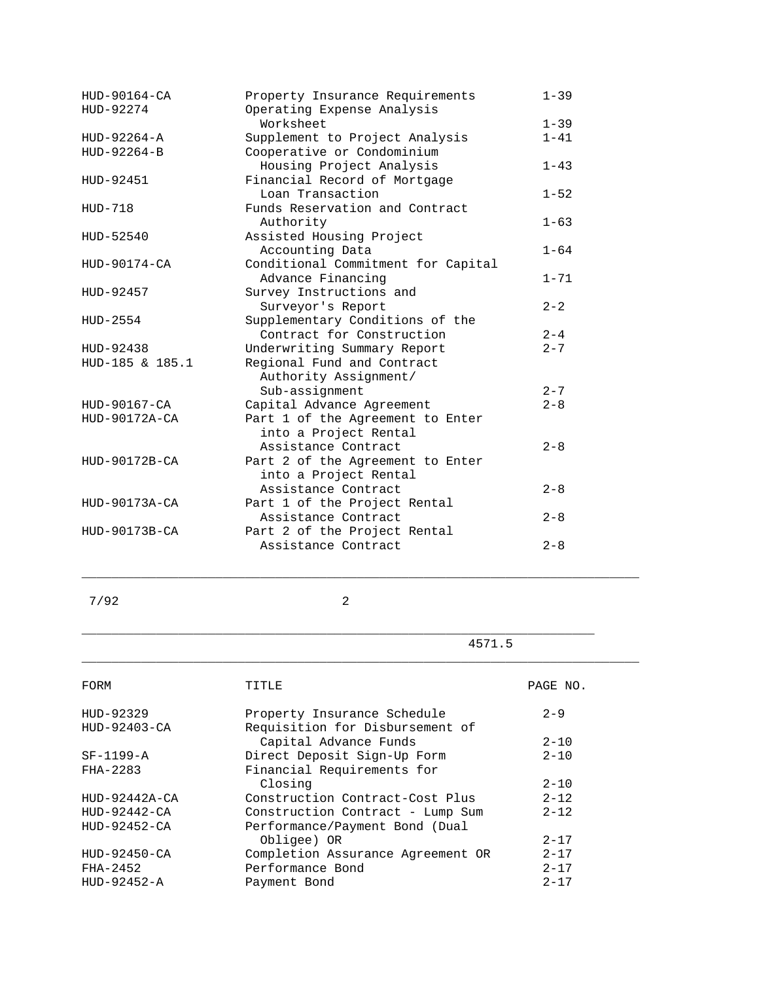| $1 - 39$<br>$1 - 41$<br>$1 - 43$<br>$1 - 52$<br>$1 - 63$<br>$1 - 64$ |
|----------------------------------------------------------------------|
|                                                                      |
|                                                                      |
|                                                                      |
|                                                                      |
|                                                                      |
|                                                                      |
|                                                                      |
|                                                                      |
|                                                                      |
|                                                                      |
|                                                                      |
|                                                                      |
| $1 - 71$                                                             |
|                                                                      |
| $2 - 2$                                                              |
|                                                                      |
| $2 - 4$                                                              |
| $2 - 7$                                                              |
|                                                                      |
|                                                                      |
| $2 - 7$                                                              |
| $2 - 8$                                                              |
|                                                                      |
|                                                                      |
| $2 - 8$                                                              |
|                                                                      |
|                                                                      |
| $2 - 8$                                                              |
|                                                                      |
| $2 - 8$                                                              |
|                                                                      |
|                                                                      |
|                                                                      |

7/92 2

\_\_\_\_\_\_\_\_\_\_\_\_\_\_\_\_\_\_\_\_\_\_\_\_\_\_\_\_\_\_\_\_\_\_\_\_\_\_\_\_\_\_\_\_\_\_\_\_\_\_\_\_\_\_\_\_\_\_\_\_\_\_\_\_\_\_\_\_\_

\_\_\_\_\_\_\_\_\_\_\_\_\_\_\_\_\_\_\_\_\_\_\_\_\_\_\_\_\_\_\_\_\_\_\_\_\_\_\_\_\_\_\_\_\_\_\_\_\_\_\_\_\_\_\_\_\_\_\_\_\_\_\_\_\_\_\_\_\_\_\_\_\_\_\_

\_\_\_\_\_\_\_\_\_\_\_\_\_\_\_\_\_\_\_\_\_\_\_\_\_\_\_\_\_\_\_\_\_\_\_\_\_\_\_\_\_\_\_\_\_\_\_\_\_\_\_\_\_\_\_\_\_\_\_\_\_\_\_\_\_\_\_\_\_\_\_\_\_\_\_

4571.5

| FORM            | TITLE                             | PAGE NO. |
|-----------------|-----------------------------------|----------|
| HUD-92329       | Property Insurance Schedule       | $2 - 9$  |
| HUD-92403-CA    | Requisition for Disbursement of   |          |
|                 | Capital Advance Funds             | $2 - 10$ |
| $SF-1199-A$     | Direct Deposit Sign-Up Form       | $2 - 10$ |
| FHA-2283        | Financial Requirements for        |          |
|                 | Closing                           | $2 - 10$ |
| $HUD-92442A-CA$ | Construction Contract-Cost Plus   | $2 - 12$ |
| $HUD-92442-CA$  | Construction Contract - Lump Sum  | $2 - 12$ |
| $HUD-92452-CA$  | Performance/Payment Bond (Dual    |          |
|                 | Obligee) OR                       | $2 - 17$ |
| $HUD-92450-CA$  | Completion Assurance Agreement OR | $2 - 17$ |
| FHA-2452        | Performance Bond                  | $2 - 17$ |
| $HUD-92452-A$   | Payment Bond                      | $2 - 17$ |